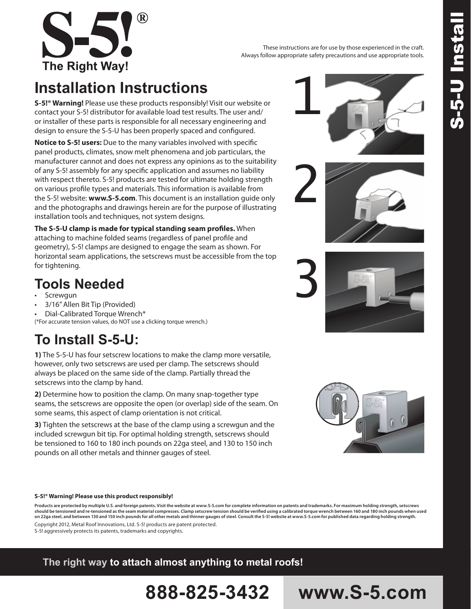

These instructions are for use by those experienced in the craft. Always follow appropriate safety precautions and use appropriate tools.

# **Installation Instructions**

**S-5!® Warning!** Please use these products responsibly! Visit our website or contact your S-5! distributor for available load test results. The user and/ or installer of these parts is responsible for all necessary engineering and design to ensure the S-5-U has been properly spaced and configured.

**Notice to S-5! users:** Due to the many variables involved with specific panel products, climates, snow melt phenomena and job particulars, the manufacturer cannot and does not express any opinions as to the suitability of any S-5! assembly for any specific application and assumes no liability with respect thereto. S-5! products are tested for ultimate holding strength on various profile types and materials. This information is available from the S-5! website: **www.S-5.com**. This document is an installation guide only and the photographs and drawings herein are for the purpose of illustrating installation tools and techniques, not system designs.

**The S-5-U clamp is made for typical standing seam profiles.** When attaching to machine folded seams (regardless of panel profile and geometry), S-5! clamps are designed to engage the seam as shown. For horizontal seam applications, the setscrews must be accessible from the top for tightening.

## **Tools Needed**

- **Screwgun**
- 3/16" Allen Bit Tip (Provided)
- Dial-Calibrated Torque Wrench\*
- (\*For accurate tension values, do NOT use a clicking torque wrench.)

# **To Install S-5-U:**

**1)** The S-5-U has four setscrew locations to make the clamp more versatile, however, only two setscrews are used per clamp. The setscrews should always be placed on the same side of the clamp. Partially thread the setscrews into the clamp by hand.

**2)** Determine how to position the clamp. On many snap-together type seams, the setscrews are opposite the open (or overlap) side of the seam. On some seams, this aspect of clamp orientation is not critical.

**3)** Tighten the setscrews at the base of the clamp using a screwgun and the included screwgun bit tip. For optimal holding strength, setscrews should be tensioned to 160 to 180 inch pounds on 22ga steel, and 130 to 150 inch pounds on all other metals and thinner gauges of steel.

#### **S-5!® Warning! Please use this product responsibly!**

**Products are protected by multiple U.S. and foreign patents. Visit the website at www.S-5.com for complete information on patents and trademarks. For maximum holding strength, setscrews should be tensioned and re-tensioned as the seam material compresses. Clamp setscrew tension should be verified using a calibrated torque wrench between 160 and 180 inch pounds when used on 22ga steel, and between 130 and 150 inch pounds for all other metals and thinner gauges of steel. Consult the S-5! website at www.S-5.com for published data regarding holding strength.** Copyright 2012, Metal Roof Innovations, Ltd. S-5! products are patent protected.

**888-825-3432 www.S-5.com**

S-5! aggressively protects its patents, trademarks and copyrights.

### **The right way to attach almost anything to metal roofs!**